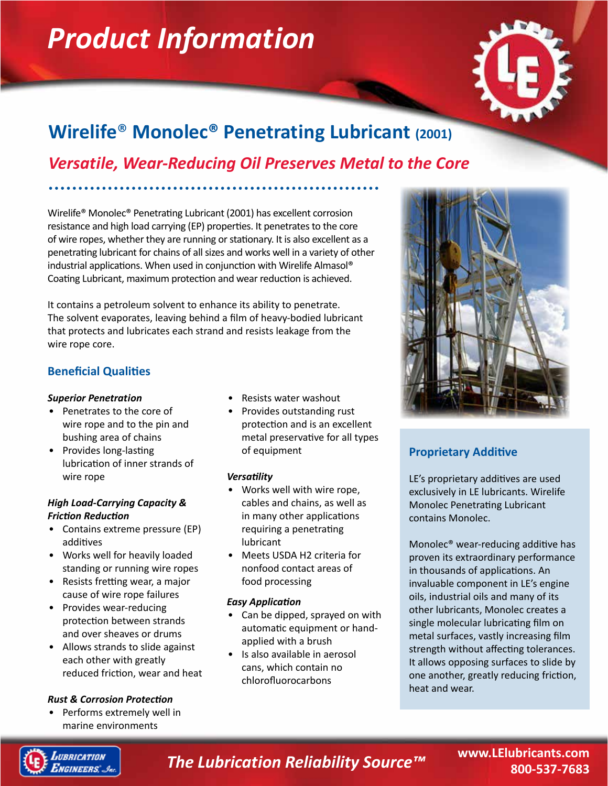# *Product Information*



# **Wirelife**® **Monolec® Penetrating Lubricant (2001)**

# *Versatile, Wear-Reducing Oil Preserves Metal to the Core*

Wirelife® Monolec® Penetrating Lubricant (2001) has excellent corrosion resistance and high load carrying (EP) properties. It penetrates to the core of wire ropes, whether they are running or stationary. It is also excellent as a penetrating lubricant for chains of all sizes and works well in a variety of other industrial applications. When used in conjunction with Wirelife Almasol® Coating Lubricant, maximum protection and wear reduction is achieved.

It contains a petroleum solvent to enhance its ability to penetrate. The solvent evaporates, leaving behind a film of heavy-bodied lubricant that protects and lubricates each strand and resists leakage from the wire rope core.

# **Beneficial Qualities**

# *Superior Penetration*

- Penetrates to the core of wire rope and to the pin and bushing area of chains
- Provides long-lasting lubrication of inner strands of wire rope

# *High Load-Carrying Capacity & Friction Reduction*

- Contains extreme pressure (EP) additives
- Works well for heavily loaded standing or running wire ropes
- Resists fretting wear, a major cause of wire rope failures
- Provides wear-reducing protection between strands and over sheaves or drums
- Allows strands to slide against each other with greatly reduced friction, wear and heat

# *Rust & Corrosion Protection*

• Performs extremely well in marine environments

- Resists water washout
- Provides outstanding rust protection and is an excellent metal preservative for all types of equipment

# *Versatility*

- Works well with wire rope, cables and chains, as well as in many other applications requiring a penetrating lubricant
- Meets USDA H2 criteria for nonfood contact areas of food processing

# *Easy Application*

- Can be dipped, sprayed on with automatic equipment or handapplied with a brush
- Is also available in aerosol cans, which contain no chlorofluorocarbons



# **Proprietary Additive**

LE's proprietary additives are used exclusively in LE lubricants. Wirelife Monolec Penetrating Lubricant contains Monolec.

Monolec® wear-reducing additive has proven its extraordinary performance in thousands of applications. An invaluable component in LE's engine oils, industrial oils and many of its other lubricants, Monolec creates a single molecular lubricating film on metal surfaces, vastly increasing film strength without affecting tolerances. It allows opposing surfaces to slide by one another, greatly reducing friction, heat and wear.



# *The Lubrication Reliability Source™* **www.LElubricants.com**

**800-537-7683**